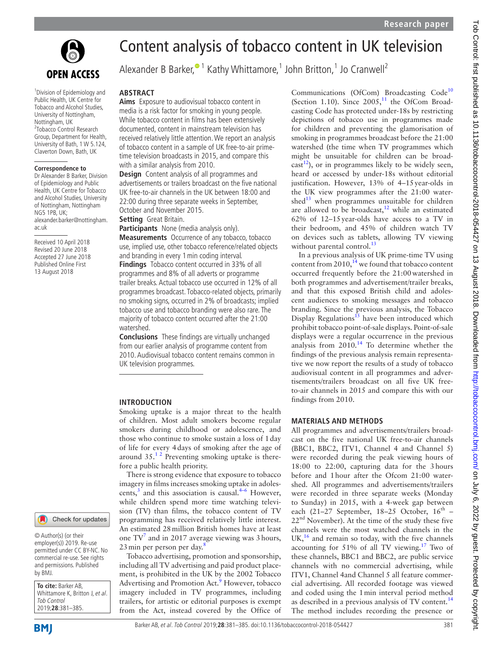

1 Division of Epidemiology and Public Health, UK Centre for Tobacco and Alcohol Studies, University of Nottingham, Nottingham, UK <sup>2</sup>Tobacco Control Research Group, Department for Health, University of Bath, 1 W 5.124, Claverton Down, Bath, UK

#### **Correspondence to**

Dr Alexander B Barker, Division of Epidemiology and Public Health, UK Centre for Tobacco and Alcohol Studies, University of Nottingham, Nottingham NG5 1PB, UK; alexander.barker@nottingham. ac.uk

Received 10 April 2018 Revised 20 June 2018 Accepted 27 June 2018 Published Online First 13 August 2018

# Content analysis of tobacco content in UK television

Alexander B Barker,<sup>•1</sup> Kathy Whittamore,<sup>1</sup> John Britton,<sup>1</sup> Jo Cranwell<sup>2</sup>

#### **Abstract**

**Aims** Exposure to audiovisual tobacco content in media is a risk factor for smoking in young people. While tobacco content in films has been extensively documented, content in mainstream television has received relatively little attention. We report an analysis of tobacco content in a sample of UK free-to-air primetime television broadcasts in 2015, and compare this with a similar analysis from 2010.

**Design** Content analysis of all programmes and advertisements or trailers broadcast on the five national UK free-to-air channels in the UK between 18:00 and 22:00 during three separate weeks in September, October and November 2015.

**Setting** Great Britain.

**Participants** None (media analysis only). **Measurements** Occurrence of any tobacco, tobacco use, implied use, other tobacco reference/related objects and branding in every 1min coding interval. **Findings** Tobacco content occurred in 33% of all programmes and 8% of all adverts or programme

trailer breaks. Actual tobacco use occurred in 12% of all programmes broadcast. Tobacco-related objects, primarily no smoking signs, occurred in 2% of broadcasts; implied tobacco use and tobacco branding were also rare. The majority of tobacco content occurred after the 21:00 watershed.

**Conclusions** These findings are virtually unchanged from our earlier analysis of programme content from 2010. Audiovisual tobacco content remains common in UK television programmes.

#### **Introduction**

Smoking uptake is a major threat to the health of children. Most adult smokers become regular smokers during childhood or adolescence, and those who continue to smoke sustain a loss of 1day of life for every 4days of smoking after the age of around  $35.^{12}$  Preventing smoking uptake is therefore a public health priority.

There is strong evidence that exposure to tobacco imagery in films increases smoking uptake in adolescents, $3$  and this association is causal. $4-6$  However, while children spend more time watching television (TV) than films, the tobacco content of TV programming has received relatively little interest. An estimated 28million British homes have at least one  $TV^7$  $TV^7$  and in 2017 average viewing was 3 hours, 23 min per person per day.<sup>[8](#page-4-4)</sup>

Tobacco advertising, promotion and sponsorship, including all TV advertising and paid product placement, is prohibited in the UK by the 2002 Tobacco Advertising and Promotion Act.<sup>9</sup> However, tobacco imagery included in TV programmes, including trailers, for artistic or editorial purposes is exempt from the Act, instead covered by the Office of

Communications (OfCom) Broadcasting Code<sup>[10](#page-4-6)</sup> (Section 1.10). Since  $2005$ ,<sup>[11](#page-4-7)</sup> the OfCom Broadcasting Code has protected under-18s by restricting depictions of tobacco use in programmes made for children and preventing the glamorisation of smoking in programmes broadcast before the 21:00 watershed (the time when TV programmes which might be unsuitable for children can be broad $cast<sup>12</sup>$ , or in programmes likely to be widely seen, heard or accessed by under-18s without editorial justification. However, 13% of 4–15year-olds in the UK view programmes after the 21:00 watershed $^{13}$  when programmes unsuitable for children are allowed to be broadcast, $12$  while an estimated 62% of 12–15year-olds have access to a TV in their bedroom, and 45% of children watch TV on devices such as tablets, allowing TV viewing without parental control.<sup>[13](#page-4-9)</sup>

In a previous analysis of UK prime-time TV using content from 2010, $14$  we found that tobacco content occurred frequently before the 21:00watershed in both programmes and advertisement/trailer breaks, and that this exposed British child and adolescent audiences to smoking messages and tobacco branding. Since the previous analysis, the Tobacco Display Regulations $^{15}$  have been introduced which prohibit tobacco point-of-sale displays. Point-of-sale displays were a regular occurrence in the previous analysis from  $2010<sup>14</sup>$  To determine whether the findings of the previous analysis remain representative we now report the results of a study of tobacco audiovisual content in all programmes and advertisements/trailers broadcast on all five UK freeto-air channels in 2015 and compare this with our findings from 2010.

#### **Materials and methods**

All programmes and advertisements/trailers broadcast on the five national UK free-to-air channels (BBC1, BBC2, ITV1, Channel 4 and Channel 5) were recorded during the peak viewing hours of 18:00 to 22:00, capturing data for the 3hours before and 1hour after the Ofcom 21:00 watershed. All programmes and advertisements/trailers were recorded in three separate weeks (Monday to Sunday) in 2015, with a 4-week gap between each (21–27 September, 18–25 October,  $16<sup>th</sup>$  –  $22<sup>nd</sup>$  November). At the time of the study these five channels were the most watched channels in the  $UK<sub>16</sub><sup>16</sup>$  and remain so today, with the five channels accounting for  $51\%$  of all TV viewing.<sup>17</sup> Two of these channels, BBC1 and BBC2, are public service channels with no commercial advertising, while ITV1, Channel 4and Channel 5 all feature commercial advertising. All recorded footage was viewed and coded using the 1min interval period method as described in a previous analysis of TV content.<sup>[14](#page-4-10)</sup> The method includes recording the presence or

Check for updates

© Author(s) (or their employer(s)) 2019. Re-use permitted under CC BY-NC. No commercial re-use. See rights and permissions. Published by BMJ.

**To cite:** Barker AB, Whittamore K, Britton J, et al. Tob Control 2019;**28**:381–385.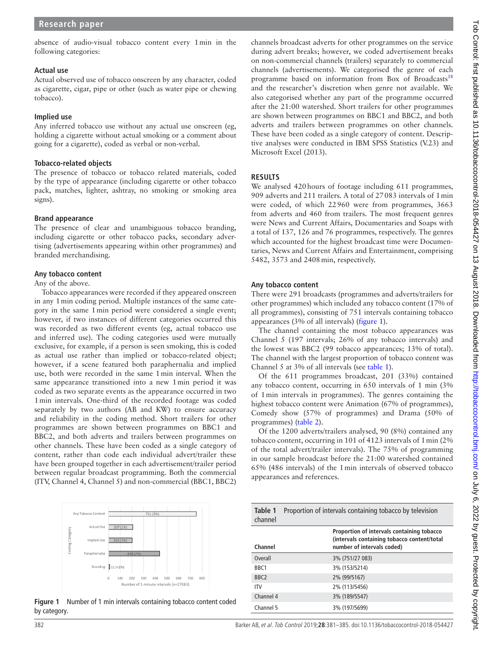## **Actual use**

Actual observed use of tobacco onscreen by any character, coded as cigarette, cigar, pipe or other (such as water pipe or chewing tobacco).

## **Implied use**

Any inferred tobacco use without any actual use onscreen (eg, holding a cigarette without actual smoking or a comment about going for a cigarette), coded as verbal or non-verbal.

## **Tobacco-related objects**

The presence of tobacco or tobacco related materials, coded by the type of appearance (including cigarette or other tobacco pack, matches, lighter, ashtray, no smoking or smoking area signs).

## **Brand appearance**

The presence of clear and unambiguous tobacco branding, including cigarette or other tobacco packs, secondary advertising (advertisements appearing within other programmes) and branded merchandising.

## **Any tobacco content**

## Any of the above.

Tobacco appearances were recorded if they appeared onscreen in any 1min coding period. Multiple instances of the same category in the same 1min period were considered a single event; however, if two instances of different categories occurred this was recorded as two different events (eg, actual tobacco use and inferred use). The coding categories used were mutually exclusive, for example, if a person is seen smoking, this is coded as actual use rather than implied or tobacco-related object; however, if a scene featured both paraphernalia and implied use, both were recorded in the same 1min interval. When the same appearance transitioned into a new 1min period it was coded as two separate events as the appearance occurred in two 1min intervals. One-third of the recorded footage was coded separately by two authors (AB and KW) to ensure accuracy and reliability in the coding method. Short trailers for other programmes are shown between programmes on BBC1 and BBC2, and both adverts and trailers between programmes on other channels. These have been coded as a single category of content, rather than code each individual advert/trailer these have been grouped together in each advertisement/trailer period between regular broadcast programming. Both the commercial (ITV, Channel 4, Channel 5) and non-commercial (BBC1, BBC2)



<span id="page-1-0"></span>**Figure 1** Number of 1 min intervals containing tobacco content coded by category.

channels broadcast adverts for other programmes on the service during advert breaks; however, we coded advertisement breaks on non-commercial channels (trailers) separately to commercial channels (advertisements). We categorised the genre of each programme based on information from Box of Broadcasts<sup>[18](#page-4-14)</sup> and the researcher's discretion when genre not available. We also categorised whether any part of the programme occurred after the 21:00 watershed. Short trailers for other programmes are shown between programmes on BBC1 and BBC2, and both adverts and trailers between programmes on other channels. These have been coded as a single category of content. Descriptive analyses were conducted in IBM SPSS Statistics (V.23) and Microsoft Excel (2013).

# **Results**

We analysed 420 hours of footage including 611 programmes, 909 adverts and 211 trailers. A total of 27083 intervals of 1min were coded, of which 22960 were from programmes, 3663 from adverts and 460 from trailers. The most frequent genres were News and Current Affairs, Documentaries and Soaps with a total of 137, 126 and 76 programmes, respectively. The genres which accounted for the highest broadcast time were Documentaries, News and Current Affairs and Entertainment, comprising 5482, 3573 and 2408min, respectively.

### **Any tobacco content**

There were 291 broadcasts (programmes and adverts/trailers for other programmes) which included any tobacco content (17% of all programmes), consisting of 751 intervals containing tobacco appearances (3% of all intervals) ([figure](#page-1-0) 1).

The channel containing the most tobacco appearances was Channel 5 (197 intervals; 26% of any tobacco intervals) and the lowest was BBC2 (99 tobacco appearances; 13% of total). The channel with the largest proportion of tobacco content was Channel 5 at 3% of all intervals (see [table](#page-1-1) 1).

Of the 611 programmes broadcast, 201 (33%) contained any tobacco content, occurring in 650 intervals of 1 min (3% of 1min intervals in programmes). The genres containing the highest tobacco content were Animation (67% of programmes), Comedy show (57% of programmes) and Drama (50% of programmes) [\(table](#page-2-0) 2).

Of the 1200 adverts/trailers analysed, 90 (8%) contained any tobacco content, occurring in 101 of 4123 intervals of 1min (2% of the total advert/trailer intervals). The 75% of programming in our sample broadcast before the 21:00 watershed contained 65% (486 intervals) of the 1min intervals of observed tobacco appearances and references.

<span id="page-1-1"></span>

| Table 1<br>channel | Proportion of intervals containing tobacco by television |                                                                                                                         |  |
|--------------------|----------------------------------------------------------|-------------------------------------------------------------------------------------------------------------------------|--|
| Channel            |                                                          | Proportion of intervals containing tobacco<br>(intervals containing tobacco content/total<br>number of intervals coded) |  |
| Overall            |                                                          | 3% (751/27 083)                                                                                                         |  |
| B <sub>RC1</sub>   |                                                          | 3% (153/5214)                                                                                                           |  |
| B <sub>RC</sub>    |                                                          | 2% (99/5167)                                                                                                            |  |
| ITV                |                                                          | 2% (113/5456)                                                                                                           |  |
| Channel 4          |                                                          | 3% (189/5547)                                                                                                           |  |
| Channel 5          |                                                          | 3% (197/5699)                                                                                                           |  |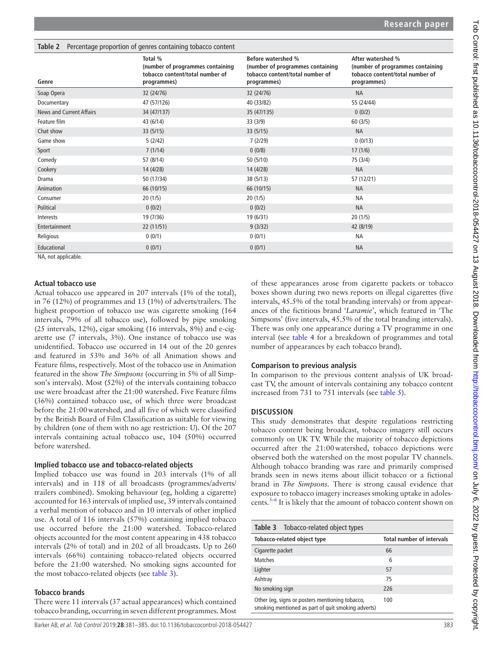<span id="page-2-0"></span>

| <b>Table 2</b> Percentage proportion of genres containing tobacco content |                                                                                               |                                                                                                          |                                                                                                         |  |  |
|---------------------------------------------------------------------------|-----------------------------------------------------------------------------------------------|----------------------------------------------------------------------------------------------------------|---------------------------------------------------------------------------------------------------------|--|--|
| Genre                                                                     | Total %<br>(number of programmes containing<br>tobacco content/total number of<br>programmes) | Before watershed %<br>(number of programmes containing<br>tobacco content/total number of<br>programmes) | After watershed %<br>(number of programmes containing<br>tobacco content/total number of<br>programmes) |  |  |
| Soap Opera                                                                | 32 (24/76)                                                                                    | 32 (24/76)                                                                                               | <b>NA</b>                                                                                               |  |  |
| Documentary                                                               | 47 (57/126)                                                                                   | 40 (33/82)                                                                                               | 55 (24/44)                                                                                              |  |  |
| News and Current Affairs                                                  | 34 (47/137)                                                                                   | 35 (47/135)                                                                                              | 0(0/2)                                                                                                  |  |  |
| Feature film                                                              | 43 (6/14)                                                                                     | 33 (3/9)                                                                                                 | 60(3/5)                                                                                                 |  |  |
| Chat show                                                                 | 33(5/15)                                                                                      | 33(5/15)                                                                                                 | <b>NA</b>                                                                                               |  |  |
| Game show                                                                 | 5(2/42)                                                                                       | 7(2/29)                                                                                                  | 0(0/13)                                                                                                 |  |  |
| Sport                                                                     | 7(1/14)                                                                                       | 0(0/8)                                                                                                   | 17(1/6)                                                                                                 |  |  |
| Comedy                                                                    | 57 (8/14)                                                                                     | 50(5/10)                                                                                                 | 75 (3/4)                                                                                                |  |  |
| Cookery                                                                   | 14 (4/28)                                                                                     | 14 (4/28)                                                                                                | <b>NA</b>                                                                                               |  |  |
| Drama                                                                     | 50 (17/34)                                                                                    | 38 (5/13)                                                                                                | 57 (12/21)                                                                                              |  |  |
| Animation                                                                 | 66 (10/15)                                                                                    | 66 (10/15)                                                                                               | <b>NA</b>                                                                                               |  |  |
| Consumer                                                                  | 20(1/5)                                                                                       | 20(1/5)                                                                                                  | <b>NA</b>                                                                                               |  |  |
| Political                                                                 | 0(0/2)                                                                                        | 0(0/2)                                                                                                   | <b>NA</b>                                                                                               |  |  |
| Interests                                                                 | 19 (7/36)                                                                                     | 19 (6/31)                                                                                                | 20(1/5)                                                                                                 |  |  |
| Entertainment                                                             | 22 (11/51)                                                                                    | 9(3/32)                                                                                                  | 42 (8/19)                                                                                               |  |  |
| Religious                                                                 | 0(0/1)                                                                                        | 0(0/1)                                                                                                   | <b>NA</b>                                                                                               |  |  |
| Educational                                                               | 0(0/1)                                                                                        | 0(0/1)                                                                                                   | <b>NA</b>                                                                                               |  |  |
| NA, not applicable.                                                       |                                                                                               |                                                                                                          |                                                                                                         |  |  |

**Actual tobacco use**

Actual tobacco use appeared in 207 intervals (1% of the total), in 76 (12%) of programmes and 13 (1%) of adverts/trailers. The highest proportion of tobacco use was cigarette smoking (164 intervals, 79% of all tobacco use), followed by pipe smoking (25 intervals, 12%), cigar smoking (16 intervals, 8%) and e-cigarette use (7 intervals, 3%). One instance of tobacco use was unidentified. Tobacco use occurred in 14 out of the 20 genres and featured in 53% and 36% of all Animation shows and Feature films, respectively. Most of the tobacco use in Animation featured in the show *The Simpsons* (occurring in 5% of all Simpson's intervals). Most (52%) of the intervals containing tobacco use were broadcast after the 21:00 watershed. Five Feature films (36%) contained tobacco use, of which three were broadcast before the 21:00watershed, and all five of which were classified by the British Board of Film Classification as suitable for viewing by children (one of them with no age restriction: U). Of the 207 intervals containing actual tobacco use, 104 (50%) occurred before watershed.

#### **Implied tobacco use and tobacco-related objects**

Implied tobacco use was found in 203 intervals (1% of all intervals) and in 118 of all broadcasts (programmes/adverts/ trailers combined). Smoking behaviour (eg, holding a cigarette) accounted for 163 intervals of implied use, 39 intervals contained a verbal mention of tobacco and in 10 intervals of other implied use. A total of 116 intervals (57%) containing implied tobacco use occurred before the 21:00 watershed. Tobacco-related objects accounted for the most content appearing in 438 tobacco intervals (2% of total) and in 202 of all broadcasts. Up to 260 intervals (66%) containing tobacco-related objects occurred before the 21:00 watershed. No smoking signs accounted for the most tobacco-related objects (see [table](#page-2-1) 3).

#### **Tobacco brands**

There were 11 intervals (37 actual appearances) which contained tobacco branding, occurring in seven different programmes. Most

<span id="page-2-1"></span>**Table 3** Tobacco-related object types

of these appearances arose from cigarette packets or tobacco boxes shown during two news reports on illegal cigarettes (five intervals, 45.5% of the total branding intervals) or from appearances of the fictitious brand '*Laramie*', which featured in 'The Simpsons' (five intervals, 45.5% of the total branding intervals). There was only one appearance during a TV programme in one interval (see [table](#page-3-0) 4 for a breakdown of programmes and total number of appearances by each tobacco brand).

#### **Comparison to previous analysis**

In comparison to the previous content analysis of UK broadcast TV, the amount of intervals containing any tobacco content increased from 731 to 751 intervals (see [table](#page-3-1) 5).

### **Discussion**

This study demonstrates that despite regulations restricting tobacco content being broadcast, tobacco imagery still occurs commonly on UK TV. While the majority of tobacco depictions occurred after the 21:00watershed, tobacco depictions were observed both the watershed on the most popular TV channels. Although tobacco branding was rare and primarily comprised brands seen in news items about illicit tobacco or a fictional brand in *The Simpsons*. There is strong causal evidence that exposure to tobacco imagery increases smoking uptake in adolescents. $3-6$  It is likely that the amount of tobacco content shown on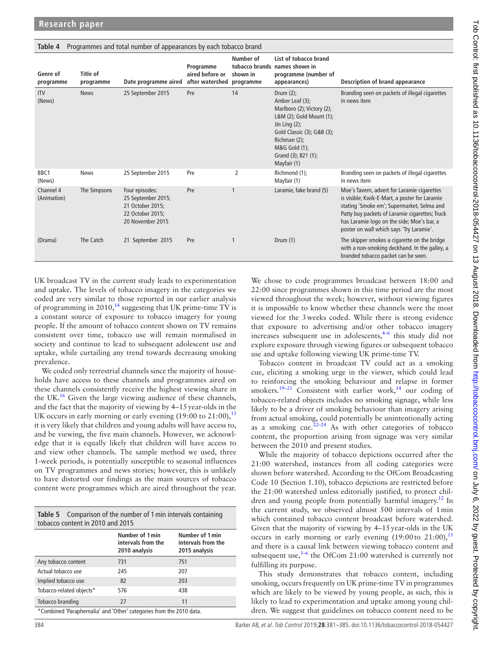| ianic 4<br>ribulaninies and total number of appearances by each topacco prand |                       |                                                                                                  |                                                           |                       |                                                                                                                                                                                                                    |                                                                                                                                                                                                                                                                                        |
|-------------------------------------------------------------------------------|-----------------------|--------------------------------------------------------------------------------------------------|-----------------------------------------------------------|-----------------------|--------------------------------------------------------------------------------------------------------------------------------------------------------------------------------------------------------------------|----------------------------------------------------------------------------------------------------------------------------------------------------------------------------------------------------------------------------------------------------------------------------------------|
| Genre of<br>programme                                                         | Title of<br>programme | Date programme aired                                                                             | Programme<br>aired before or<br>after watershed programme | Number of<br>shown in | List of tobacco brand<br>tobacco brands names shown in<br>programme (number of<br>appearances)                                                                                                                     | Description of brand appearance                                                                                                                                                                                                                                                        |
| <b>ITV</b><br>(News)                                                          | <b>News</b>           | 25 September 2015                                                                                | Pre                                                       | 14                    | Drum $(2)$ ;<br>Amber Leaf (3);<br>Marlboro (2); Victory (2);<br>L&M (2); Gold Mount (1);<br>Jin Ling $(2)$ ;<br>Gold Classic (3); G&B (3);<br>Richman (2);<br>M&G Gold (1);<br>Grand (3); 821 (1);<br>Mayfair (1) | Branding seen on packets of illegal cigarettes<br>in news item                                                                                                                                                                                                                         |
| BBC <sub>1</sub><br>(News)                                                    | <b>News</b>           | 25 September 2015                                                                                | Pre                                                       | 2                     | Richmond (1);<br>Mayfair (1)                                                                                                                                                                                       | Branding seen on packets of illegal cigarettes<br>in news item                                                                                                                                                                                                                         |
| Channel 4<br>(Animation)                                                      | The Simpsons          | Four episodes:<br>25 September 2015;<br>21 October 2015:<br>22 October 2015:<br>20 November 2015 | Pre                                                       |                       | Laramie, fake brand (5)                                                                                                                                                                                            | Moe's Tavern, advert for Laramie cigarettes<br>is visible; Kwik-E-Mart, a poster for Laramie<br>stating 'Smoke em'; Supermarket, Selma and<br>Patty buy packets of Laramie cigarettes; Truck<br>has Laramie logo on the side; Moe's bar, a<br>poster on wall which says 'Try Laramie'. |
| (Drama)                                                                       | The Catch             | 21 September 2015                                                                                | Pre                                                       |                       | Drum $(1)$                                                                                                                                                                                                         | The skipper smokes a cigarette on the bridge<br>with a non-smoking deckhand. In the galley, a<br>branded tobacco packet can be seen.                                                                                                                                                   |

<span id="page-3-0"></span>**Table 4** Programmes and total number of appearances by each tobacco brand

UK broadcast TV in the current study leads to experimentation and uptake. The levels of tobacco imagery in the categories we coded are very similar to those reported in our earlier analysis of programming in 2010,<sup>[14](#page-4-10)</sup> suggesting that UK prime-time TV is a constant source of exposure to tobacco imagery for young people. If the amount of tobacco content shown on TV remains consistent over time, tobacco use will remain normalised in society and continue to lead to subsequent adolescent use and uptake, while curtailing any trend towards decreasing smoking prevalence.

We coded only terrestrial channels since the majority of households have access to these channels and programmes aired on these channels consistently receive the highest viewing share in the UK.<sup>[16](#page-4-12)</sup> Given the large viewing audience of these channels, and the fact that the majority of viewing by 4–15year-olds in the UK occurs in early morning or early evening  $(19:00 \text{ to } 21:00)$ ,<sup>[13](#page-4-9)</sup> it is very likely that children and young adults will have access to, and be viewing, the five main channels. However, we acknowledge that it is equally likely that children will have access to and view other channels. The sample method we used, three 1-week periods, is potentially susceptible to seasonal influences on TV programmes and news stories; however, this is unlikely to have distorted our findings as the main sources of tobacco content were programmes which are aired throughout the year.

<span id="page-3-1"></span>

| Table 5 Comparison of the number of 1 min intervals containing<br>tobacco content in 2010 and 2015 |                                                        |                                                        |  |  |  |
|----------------------------------------------------------------------------------------------------|--------------------------------------------------------|--------------------------------------------------------|--|--|--|
|                                                                                                    | Number of 1 min<br>intervals from the<br>2010 analysis | Number of 1 min<br>intervals from the<br>2015 analysis |  |  |  |
| Any tobacco content                                                                                | 731                                                    | 751                                                    |  |  |  |
| Actual tobacco use                                                                                 | 245                                                    | 207                                                    |  |  |  |
| Implied tobacco use                                                                                | 82                                                     | 203                                                    |  |  |  |
| Tobacco-related objects*                                                                           | 576                                                    | 438                                                    |  |  |  |
| Tobacco branding                                                                                   | 27                                                     | 11                                                     |  |  |  |
| *Combined 'Paranhernalia' and 'Other' categories from the 2010 data                                |                                                        |                                                        |  |  |  |

\*Combined 'Paraphernalia' and 'Other' categories from the 2010 data.

We chose to code programmes broadcast between 18:00 and 22:00 since programmes shown in this time period are the most viewed throughout the week; however, without viewing figures it is impossible to know whether these channels were the most viewed for the 3weeks coded. While there is strong evidence that exposure to advertising and/or other tobacco imagery increases subsequent use in adolescents, $4-6$  this study did not explore exposure through viewing figures or subsequent tobacco use and uptake following viewing UK prime-time TV.

Tobacco content in broadcast TV could act as a smoking cue, eliciting a smoking urge in the viewer, which could lead to reinforcing the smoking behaviour and relapse in former smokers.<sup>19-21</sup> Consistent with earlier work,<sup>14</sup> our coding of tobacco-related objects includes no smoking signage, while less likely to be a driver of smoking behaviour than imagery arising from actual smoking, could potentially be unintentionally acting as a smoking cue.<sup>22–24</sup> As with other categories of tobacco content, the proportion arising from signage was very similar between the 2010 and present studies.

While the majority of tobacco depictions occurred after the 21:00 watershed, instances from all coding categories were shown before watershed. According to the OfCom Broadcasting Code 10 (Section 1.10), tobacco depictions are restricted before the 21:00 watershed unless editorially justified, to protect children and young people from potentially harmful imagery.<sup>12</sup> In the current study, we observed almost 500 intervals of 1min which contained tobacco content broadcast before watershed. Given that the majority of viewing by 4–15year-olds in the UK occurs in early morning or early evening  $(19:00 \text{ to } 21:00)$ ,<sup>[13](#page-4-9)</sup> and there is a causal link between viewing tobacco content and subsequent use, $3-6$  the OfCom 21:00 watershed is currently not fulfilling its purpose.

This study demonstrates that tobacco content, including smoking, occurs frequently on UK prime-time TV in programmes which are likely to be viewed by young people, as such, this is likely to lead to experimentation and uptake among young children. We suggest that guidelines on tobacco content need to be